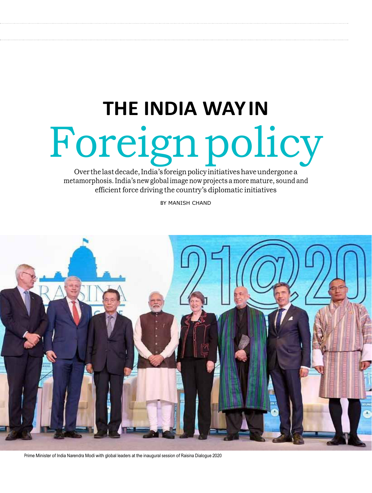# **THE INDIA WAY IN** Foreign policy

Over the last decade, India's foreign policy initiatives have undergone a metamorphosis. India's new global image now projects a more mature, sound and efficient force driving the country's diplomatic initiatives

BY MANISH CHAND



Prime Minister of India Narendra Modi with global leaders at the inaugural session of Raisina Dialogue 2020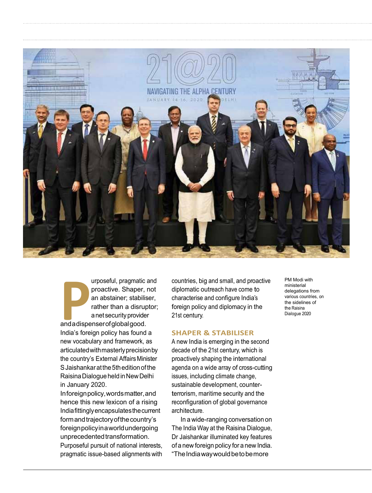

urposeful, pragmatic a<br>
proactive. Shaper, i<br>
an abstainer; stabilis<br>
rather than a disrup<br>
anetsecurity provider<br>
and a dispenser of global good. urposeful, pragmatic and proactive. Shaper, not an abstainer; stabiliser, rather than a disruptor; a net security provider India's foreign policy has found a new vocabulary and framework, as articulated with masterly precision by the country's External Affairs Minister S Jaishankar at the 5th edition of the Raisina Dialogue held in New Delhi in January 2020.

In foreign policy, words matter, and hence this new lexicon of a rising India fittingly encapsulates the current form and trajectory of the country's foreign policy in a world undergoing unprecedented transformation. Purposeful pursuit of national interests, pragmatic issue-based alignments with countries, big and small, and proactive diplomatic outreach have come to characterise and configure India's foreign policy and diplomacy in the 21st century.

## **SHAPER & STABILISER**

A new India is emerging in the second decade of the 21st century, which is proactively shaping the international agenda on a wide array of cross-cutting issues, including climate change, sustainable development, counterterrorism, maritime security and the reconfiguration of global governance architecture.

In a wide-ranging conversation on The India Way at the Raisina Dialogue, Dr Jaishankar illuminated key features of a new foreign policy for a new India. "The India way would betobe more

PM Modi with ministerial delegations from various countries, on the sidelines of the Raisina Dialogue 2020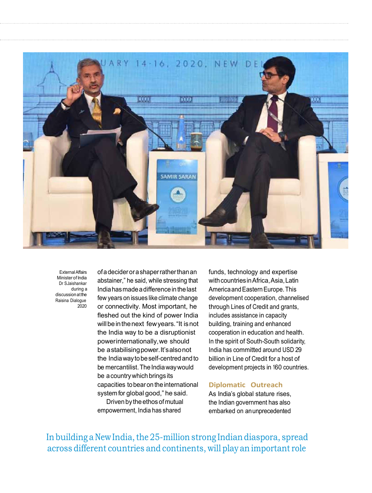

External Affairs Minister of India Dr SJaishankar during a discussion at the Raisina Dialogue  $2020$ 

of a decider or a shaper rather than an abstainer," he said, while stressing that India has made a difference in the last few years on issues like climate change or connectivity. Most important, he fleshed out the kind of power India will bein the next few years. "It is not the India way to be a disruptionist power internationally, we should be a stabilising power. It's also not the India way tobe self-centred and to be mercantilist. The India way would be a country which brings its capacities to bear on the international system for global good," he said.

Driven by the ethos of mutual empowerment, India has shared

funds, technology and expertise with countries in Africa, Asia, Latin America and Eastern Europe. This development cooperation, channelised through Lines of Credit and grants, includes assistance in capacity building, training and enhanced cooperation in education and health. In the spirit of South-South solidarity, India has committed around USD 29 billion in Line of Credit for a host of development projects in 160 countries.

## **Diplomatic Outreach**

As India's global stature rises, the Indian government has also embarked on an unprecedented

In building a New India, the 25-million strong Indian diaspora, spread across different countries and continents, will play an important role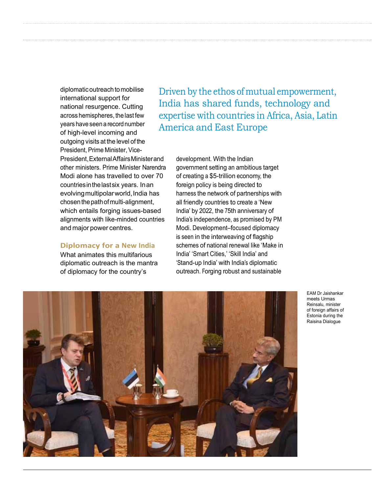diplomatic outreach to mobilise international support for national resurgence. Cutting across hemispheres, the last few years have seen a record number of high-level incoming and outgoing visits at the level of the President, Prime Minister, Vice-President, External Affairs Minister and other ministers. Prime Minister Narendra Modi alone has travelled to over 70 countries in the last six years. In an evolving multipolar world, India has chosen the path of multi-alignment, which entails forging issues-based alignments with like-minded countries and major power centres.

# **Diplomacy for a New India**

What animates this multifarious diplomatic outreach is the mantra of diplomacy for the country's

Driven by the ethos of mutual empowerment, India has shared funds, technology and expertise with countries in Africa, Asia, Latin America and East Europe

development. With the Indian government setting an ambitious target of creating a \$5-trillion economy, the foreign policy is being directed to harness the network of partnerships with all friendly countries to create <sup>a</sup> 'New India' by 2022, the 75th anniversary of India's independence, as promised by PM Modi. Development–focused diplomacy is seen in the interweaving of flagship schemes of national renewal like 'Make in India' 'Smart Cities,' 'Skill India' and 'Stand-up India' with India's diplomatic outreach. Forging robust and sustainable



EAM Dr Jaishankar meets Urmas Reinsalu, minister of foreign affairs of Estonia during the Raisina Dialogue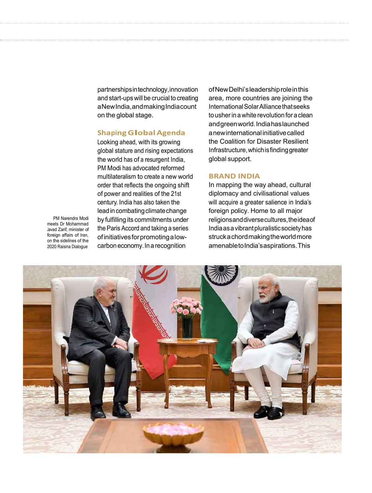partnerships in technology, innovation and start-ups will be crucial to creating a New India, and making India count on the global stage.

# **ShapingGlobalAgenda**

Looking ahead, with its growing global stature and rising expectations the world has of a resurgent India, PM Modi has advocated reformed multilateralism to create <sup>a</sup> new world order that reflects the ongoing shift of power and realities of the 21st century. India has also taken the lead in combating climate change by fulfilling its commitments under the Paris Accord and taking a series of initiatives for promoting a lowcarbon economy. In a recognition

PM Narendra Modi meets Dr Mohammad Javad Zarif, minister of foreign affairs of Iran. on the sidelines of the 2020 Raisina Dialogue



ofNew Delhi's leadership role in this area, more countries are joining the International Solar Alliance that seeks to usher in a white revolution for a clean and green world. India has launched a new international initiative called the Coalition for Disaster Resilient Infrastructure, which is finding greater global support.

### **BRAND INDIA**

In mapping the way ahead, cultural diplomacy and civilisational values will acquire a greater salience in India's foreign policy. Home to all major religions and diverse cultures, the idea of India as a vibrant pluralistic society has struck a chord making the world more amenable to India's aspirations. This